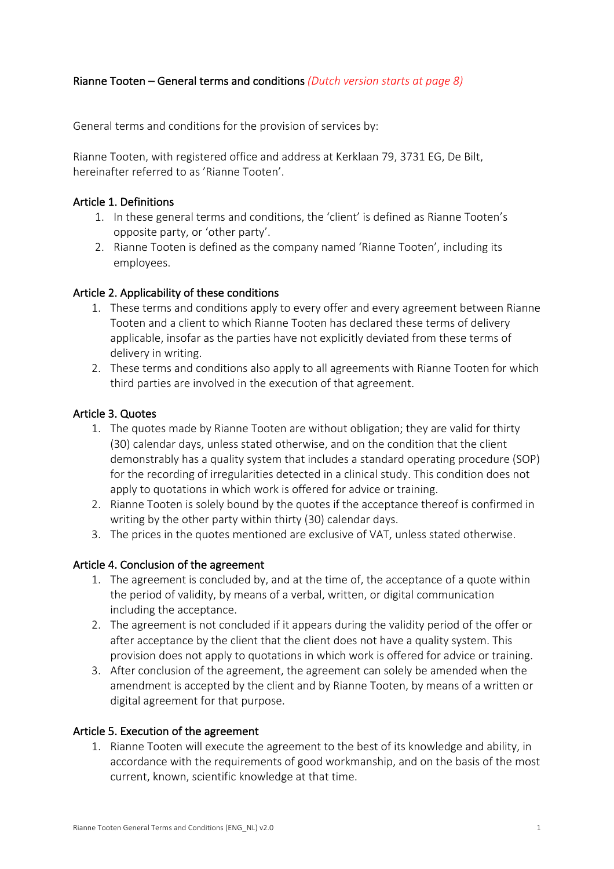# Rianne Tooten – General terms and conditions *(Dutch version starts at page 8)*

General terms and conditions for the provision of services by:

Rianne Tooten, with registered office and address at Kerklaan 79, 3731 EG, De Bilt, hereinafter referred to as 'Rianne Tooten'.

### Article 1. Definitions

- 1. In these general terms and conditions, the 'client' is defined as Rianne Tooten's opposite party, or 'other party'.
- 2. Rianne Tooten is defined as the company named 'Rianne Tooten', including its employees.

### Article 2. Applicability of these conditions

- 1. These terms and conditions apply to every offer and every agreement between Rianne Tooten and a client to which Rianne Tooten has declared these terms of delivery applicable, insofar as the parties have not explicitly deviated from these terms of delivery in writing.
- 2. These terms and conditions also apply to all agreements with Rianne Tooten for which third parties are involved in the execution of that agreement.

### Article 3. Quotes

- 1. The quotes made by Rianne Tooten are without obligation; they are valid for thirty (30) calendar days, unless stated otherwise, and on the condition that the client demonstrably has a quality system that includes a standard operating procedure (SOP) for the recording of irregularities detected in a clinical study. This condition does not apply to quotations in which work is offered for advice or training.
- 2. Rianne Tooten is solely bound by the quotes if the acceptance thereof is confirmed in writing by the other party within thirty (30) calendar days.
- 3. The prices in the quotes mentioned are exclusive of VAT, unless stated otherwise.

### Article 4. Conclusion of the agreement

- 1. The agreement is concluded by, and at the time of, the acceptance of a quote within the period of validity, by means of a verbal, written, or digital communication including the acceptance.
- 2. The agreement is not concluded if it appears during the validity period of the offer or after acceptance by the client that the client does not have a quality system. This provision does not apply to quotations in which work is offered for advice or training.
- 3. After conclusion of the agreement, the agreement can solely be amended when the amendment is accepted by the client and by Rianne Tooten, by means of a written or digital agreement for that purpose.

### Article 5. Execution of the agreement

1. Rianne Tooten will execute the agreement to the best of its knowledge and ability, in accordance with the requirements of good workmanship, and on the basis of the most current, known, scientific knowledge at that time.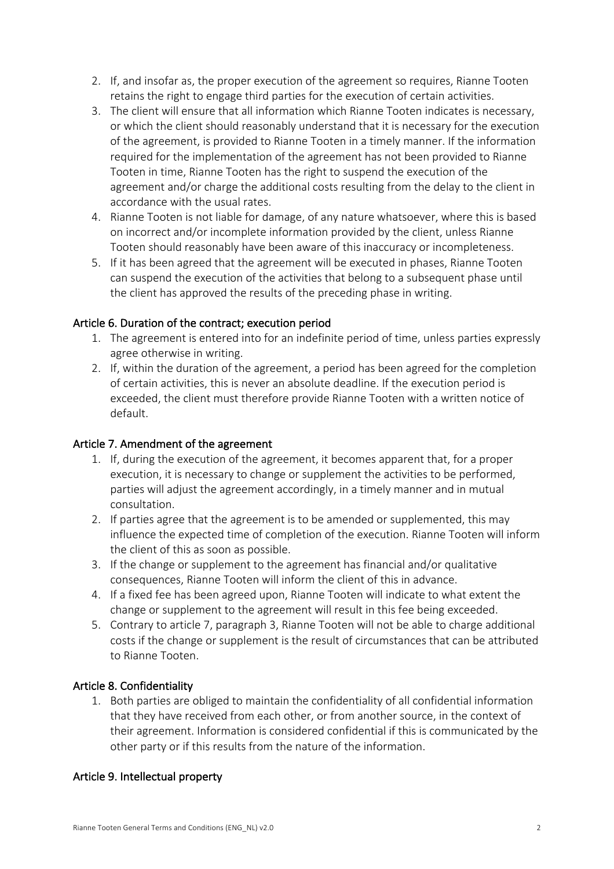- 2. If, and insofar as, the proper execution of the agreement so requires, Rianne Tooten retains the right to engage third parties for the execution of certain activities.
- 3. The client will ensure that all information which Rianne Tooten indicates is necessary, or which the client should reasonably understand that it is necessary for the execution of the agreement, is provided to Rianne Tooten in a timely manner. If the information required for the implementation of the agreement has not been provided to Rianne Tooten in time, Rianne Tooten has the right to suspend the execution of the agreement and/or charge the additional costs resulting from the delay to the client in accordance with the usual rates.
- 4. Rianne Tooten is not liable for damage, of any nature whatsoever, where this is based on incorrect and/or incomplete information provided by the client, unless Rianne Tooten should reasonably have been aware of this inaccuracy or incompleteness.
- 5. If it has been agreed that the agreement will be executed in phases, Rianne Tooten can suspend the execution of the activities that belong to a subsequent phase until the client has approved the results of the preceding phase in writing.

# Article 6. Duration of the contract; execution period

- 1. The agreement is entered into for an indefinite period of time, unless parties expressly agree otherwise in writing.
- 2. If, within the duration of the agreement, a period has been agreed for the completion of certain activities, this is never an absolute deadline. If the execution period is exceeded, the client must therefore provide Rianne Tooten with a written notice of default.

# Article 7. Amendment of the agreement

- 1. If, during the execution of the agreement, it becomes apparent that, for a proper execution, it is necessary to change or supplement the activities to be performed, parties will adjust the agreement accordingly, in a timely manner and in mutual consultation.
- 2. If parties agree that the agreement is to be amended or supplemented, this may influence the expected time of completion of the execution. Rianne Tooten will inform the client of this as soon as possible.
- 3. If the change or supplement to the agreement has financial and/or qualitative consequences, Rianne Tooten will inform the client of this in advance.
- 4. If a fixed fee has been agreed upon, Rianne Tooten will indicate to what extent the change or supplement to the agreement will result in this fee being exceeded.
- 5. Contrary to article 7, paragraph 3, Rianne Tooten will not be able to charge additional costs if the change or supplement is the result of circumstances that can be attributed to Rianne Tooten.

# Article 8. Confidentiality

1. Both parties are obliged to maintain the confidentiality of all confidential information that they have received from each other, or from another source, in the context of their agreement. Information is considered confidential if this is communicated by the other party or if this results from the nature of the information.

# Article 9. Intellectual property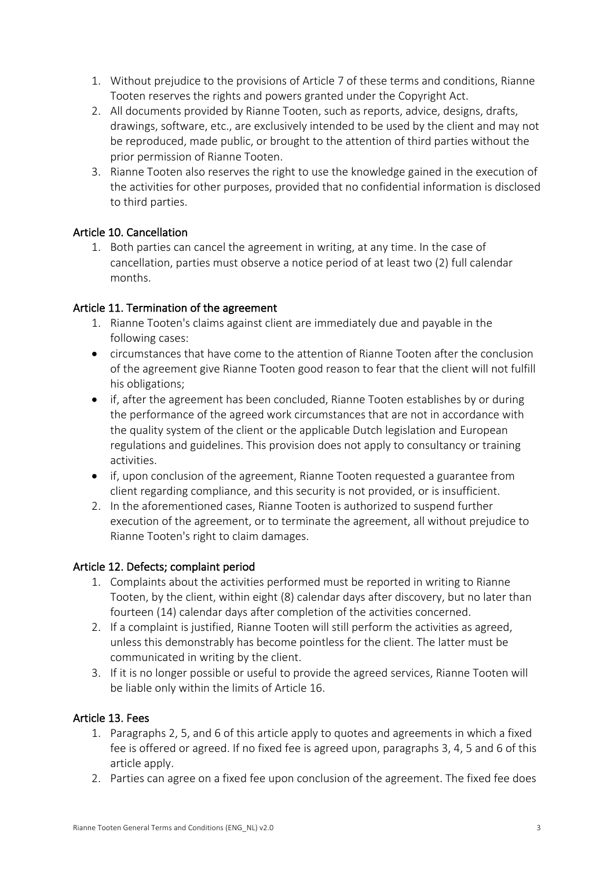- 1. Without prejudice to the provisions of Article 7 of these terms and conditions, Rianne Tooten reserves the rights and powers granted under the Copyright Act.
- 2. All documents provided by Rianne Tooten, such as reports, advice, designs, drafts, drawings, software, etc., are exclusively intended to be used by the client and may not be reproduced, made public, or brought to the attention of third parties without the prior permission of Rianne Tooten.
- 3. Rianne Tooten also reserves the right to use the knowledge gained in the execution of the activities for other purposes, provided that no confidential information is disclosed to third parties.

# Article 10. Cancellation

1. Both parties can cancel the agreement in writing, at any time. In the case of cancellation, parties must observe a notice period of at least two (2) full calendar months.

# Article 11. Termination of the agreement

- 1. Rianne Tooten's claims against client are immediately due and payable in the following cases:
- circumstances that have come to the attention of Rianne Tooten after the conclusion of the agreement give Rianne Tooten good reason to fear that the client will not fulfill his obligations;
- if, after the agreement has been concluded, Rianne Tooten establishes by or during the performance of the agreed work circumstances that are not in accordance with the quality system of the client or the applicable Dutch legislation and European regulations and guidelines. This provision does not apply to consultancy or training activities.
- if, upon conclusion of the agreement, Rianne Tooten requested a guarantee from client regarding compliance, and this security is not provided, or is insufficient.
- 2. In the aforementioned cases, Rianne Tooten is authorized to suspend further execution of the agreement, or to terminate the agreement, all without prejudice to Rianne Tooten's right to claim damages.

# Article 12. Defects; complaint period

- 1. Complaints about the activities performed must be reported in writing to Rianne Tooten, by the client, within eight (8) calendar days after discovery, but no later than fourteen (14) calendar days after completion of the activities concerned.
- 2. If a complaint is justified, Rianne Tooten will still perform the activities as agreed, unless this demonstrably has become pointless for the client. The latter must be communicated in writing by the client.
- 3. If it is no longer possible or useful to provide the agreed services, Rianne Tooten will be liable only within the limits of Article 16.

# Article 13. Fees

- 1. Paragraphs 2, 5, and 6 of this article apply to quotes and agreements in which a fixed fee is offered or agreed. If no fixed fee is agreed upon, paragraphs 3, 4, 5 and 6 of this article apply.
- 2. Parties can agree on a fixed fee upon conclusion of the agreement. The fixed fee does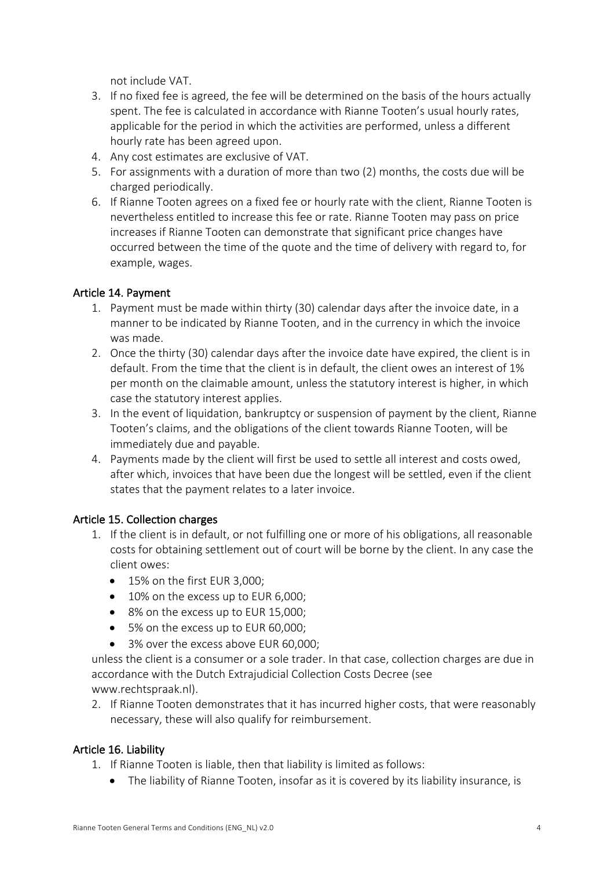not include VAT.

- 3. If no fixed fee is agreed, the fee will be determined on the basis of the hours actually spent. The fee is calculated in accordance with Rianne Tooten's usual hourly rates, applicable for the period in which the activities are performed, unless a different hourly rate has been agreed upon.
- 4. Any cost estimates are exclusive of VAT.
- 5. For assignments with a duration of more than two (2) months, the costs due will be charged periodically.
- 6. If Rianne Tooten agrees on a fixed fee or hourly rate with the client, Rianne Tooten is nevertheless entitled to increase this fee or rate. Rianne Tooten may pass on price increases if Rianne Tooten can demonstrate that significant price changes have occurred between the time of the quote and the time of delivery with regard to, for example, wages.

# Article 14. Payment

- 1. Payment must be made within thirty (30) calendar days after the invoice date, in a manner to be indicated by Rianne Tooten, and in the currency in which the invoice was made.
- 2. Once the thirty (30) calendar days after the invoice date have expired, the client is in default. From the time that the client is in default, the client owes an interest of 1% per month on the claimable amount, unless the statutory interest is higher, in which case the statutory interest applies.
- 3. In the event of liquidation, bankruptcy or suspension of payment by the client, Rianne Tooten's claims, and the obligations of the client towards Rianne Tooten, will be immediately due and payable.
- 4. Payments made by the client will first be used to settle all interest and costs owed, after which, invoices that have been due the longest will be settled, even if the client states that the payment relates to a later invoice.

# Article 15. Collection charges

- 1. If the client is in default, or not fulfilling one or more of his obligations, all reasonable costs for obtaining settlement out of court will be borne by the client. In any case the client owes:
	- 15% on the first EUR 3,000;
	- 10% on the excess up to EUR 6,000;
	- 8% on the excess up to EUR 15,000;
	- 5% on the excess up to EUR 60,000;
	- 3% over the excess above EUR 60,000;

unless the client is a consumer or a sole trader. In that case, collection charges are due in accordance with the Dutch Extrajudicial Collection Costs Decree (see www.rechtspraak.nl).

2. If Rianne Tooten demonstrates that it has incurred higher costs, that were reasonably necessary, these will also qualify for reimbursement.

# Article 16. Liability

- 1. If Rianne Tooten is liable, then that liability is limited as follows:
	- The liability of Rianne Tooten, insofar as it is covered by its liability insurance, is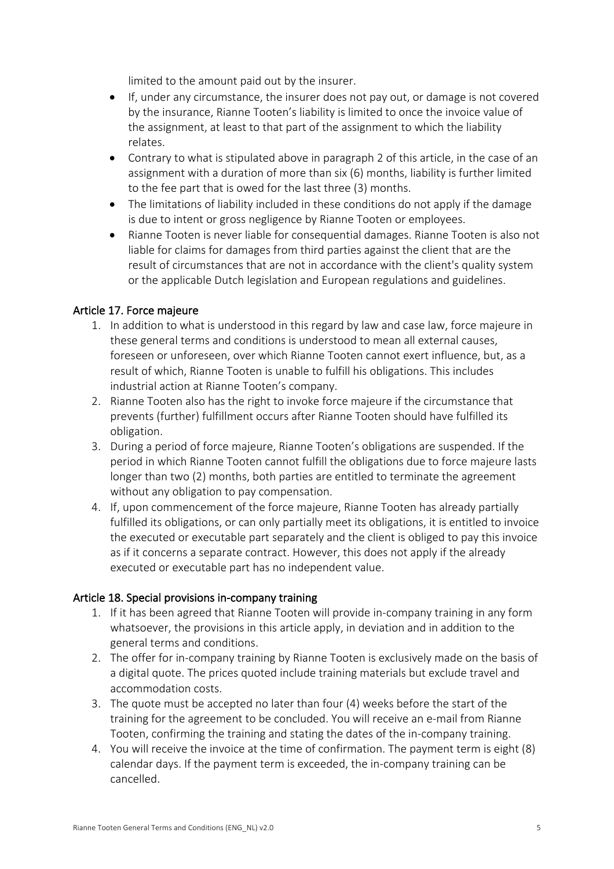limited to the amount paid out by the insurer.

- If, under any circumstance, the insurer does not pay out, or damage is not covered by the insurance, Rianne Tooten's liability is limited to once the invoice value of the assignment, at least to that part of the assignment to which the liability relates.
- Contrary to what is stipulated above in paragraph 2 of this article, in the case of an assignment with a duration of more than six (6) months, liability is further limited to the fee part that is owed for the last three (3) months.
- The limitations of liability included in these conditions do not apply if the damage is due to intent or gross negligence by Rianne Tooten or employees.
- Rianne Tooten is never liable for consequential damages. Rianne Tooten is also not liable for claims for damages from third parties against the client that are the result of circumstances that are not in accordance with the client's quality system or the applicable Dutch legislation and European regulations and guidelines.

# Article 17. Force majeure

- 1. In addition to what is understood in this regard by law and case law, force majeure in these general terms and conditions is understood to mean all external causes, foreseen or unforeseen, over which Rianne Tooten cannot exert influence, but, as a result of which, Rianne Tooten is unable to fulfill his obligations. This includes industrial action at Rianne Tooten's company.
- 2. Rianne Tooten also has the right to invoke force majeure if the circumstance that prevents (further) fulfillment occurs after Rianne Tooten should have fulfilled its obligation.
- 3. During a period of force majeure, Rianne Tooten's obligations are suspended. If the period in which Rianne Tooten cannot fulfill the obligations due to force majeure lasts longer than two (2) months, both parties are entitled to terminate the agreement without any obligation to pay compensation.
- 4. If, upon commencement of the force majeure, Rianne Tooten has already partially fulfilled its obligations, or can only partially meet its obligations, it is entitled to invoice the executed or executable part separately and the client is obliged to pay this invoice as if it concerns a separate contract. However, this does not apply if the already executed or executable part has no independent value.

# Article 18. Special provisions in-company training

- 1. If it has been agreed that Rianne Tooten will provide in-company training in any form whatsoever, the provisions in this article apply, in deviation and in addition to the general terms and conditions.
- 2. The offer for in-company training by Rianne Tooten is exclusively made on the basis of a digital quote. The prices quoted include training materials but exclude travel and accommodation costs.
- 3. The quote must be accepted no later than four (4) weeks before the start of the training for the agreement to be concluded. You will receive an e-mail from Rianne Tooten, confirming the training and stating the dates of the in-company training.
- 4. You will receive the invoice at the time of confirmation. The payment term is eight (8) calendar days. If the payment term is exceeded, the in-company training can be cancelled.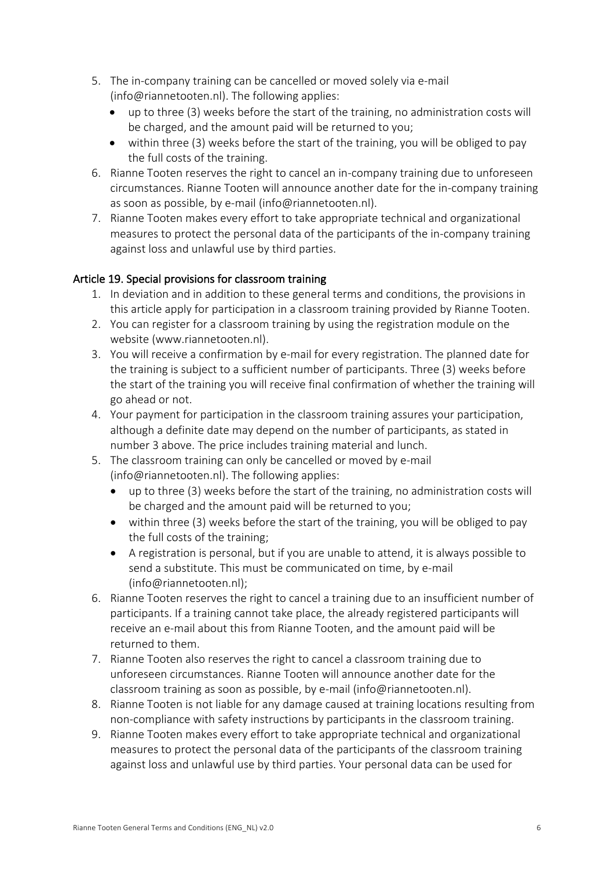- 5. The in-company training can be cancelled or moved solely via e-mail (info@riannetooten.nl). The following applies:
	- up to three (3) weeks before the start of the training, no administration costs will be charged, and the amount paid will be returned to you;
	- within three (3) weeks before the start of the training, you will be obliged to pay the full costs of the training.
- 6. Rianne Tooten reserves the right to cancel an in-company training due to unforeseen circumstances. Rianne Tooten will announce another date for the in-company training as soon as possible, by e-mail (info@riannetooten.nl).
- 7. Rianne Tooten makes every effort to take appropriate technical and organizational measures to protect the personal data of the participants of the in-company training against loss and unlawful use by third parties.

# Article 19. Special provisions for classroom training

- 1. In deviation and in addition to these general terms and conditions, the provisions in this article apply for participation in a classroom training provided by Rianne Tooten.
- 2. You can register for a classroom training by using the registration module on the website (www.riannetooten.nl).
- 3. You will receive a confirmation by e-mail for every registration. The planned date for the training is subject to a sufficient number of participants. Three (3) weeks before the start of the training you will receive final confirmation of whether the training will go ahead or not.
- 4. Your payment for participation in the classroom training assures your participation, although a definite date may depend on the number of participants, as stated in number 3 above. The price includes training material and lunch.
- 5. The classroom training can only be cancelled or moved by e-mail (info@riannetooten.nl). The following applies:
	- up to three (3) weeks before the start of the training, no administration costs will be charged and the amount paid will be returned to you;
	- within three (3) weeks before the start of the training, you will be obliged to pay the full costs of the training;
	- A registration is personal, but if you are unable to attend, it is always possible to send a substitute. This must be communicated on time, by e-mail (info@riannetooten.nl);
- 6. Rianne Tooten reserves the right to cancel a training due to an insufficient number of participants. If a training cannot take place, the already registered participants will receive an e-mail about this from Rianne Tooten, and the amount paid will be returned to them.
- 7. Rianne Tooten also reserves the right to cancel a classroom training due to unforeseen circumstances. Rianne Tooten will announce another date for the classroom training as soon as possible, by e-mail (info@riannetooten.nl).
- 8. Rianne Tooten is not liable for any damage caused at training locations resulting from non-compliance with safety instructions by participants in the classroom training.
- 9. Rianne Tooten makes every effort to take appropriate technical and organizational measures to protect the personal data of the participants of the classroom training against loss and unlawful use by third parties. Your personal data can be used for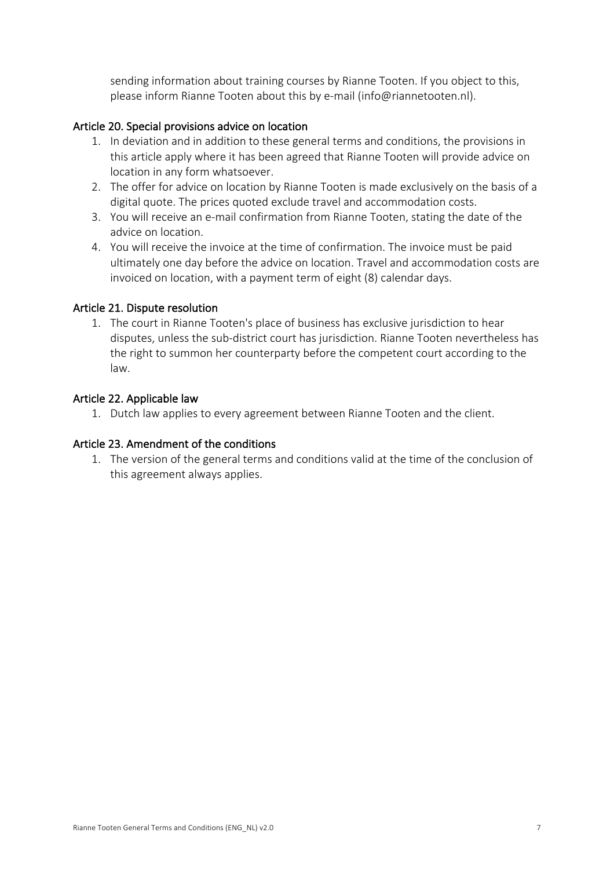sending information about training courses by Rianne Tooten. If you object to this, please inform Rianne Tooten about this by e-mail (info@riannetooten.nl).

# Article 20. Special provisions advice on location

- 1. In deviation and in addition to these general terms and conditions, the provisions in this article apply where it has been agreed that Rianne Tooten will provide advice on location in any form whatsoever.
- 2. The offer for advice on location by Rianne Tooten is made exclusively on the basis of a digital quote. The prices quoted exclude travel and accommodation costs.
- 3. You will receive an e-mail confirmation from Rianne Tooten, stating the date of the advice on location.
- 4. You will receive the invoice at the time of confirmation. The invoice must be paid ultimately one day before the advice on location. Travel and accommodation costs are invoiced on location, with a payment term of eight (8) calendar days.

# Article 21. Dispute resolution

1. The court in Rianne Tooten's place of business has exclusive jurisdiction to hear disputes, unless the sub-district court has jurisdiction. Rianne Tooten nevertheless has the right to summon her counterparty before the competent court according to the law.

### Article 22. Applicable law

1. Dutch law applies to every agreement between Rianne Tooten and the client.

### Article 23. Amendment of the conditions

1. The version of the general terms and conditions valid at the time of the conclusion of this agreement always applies.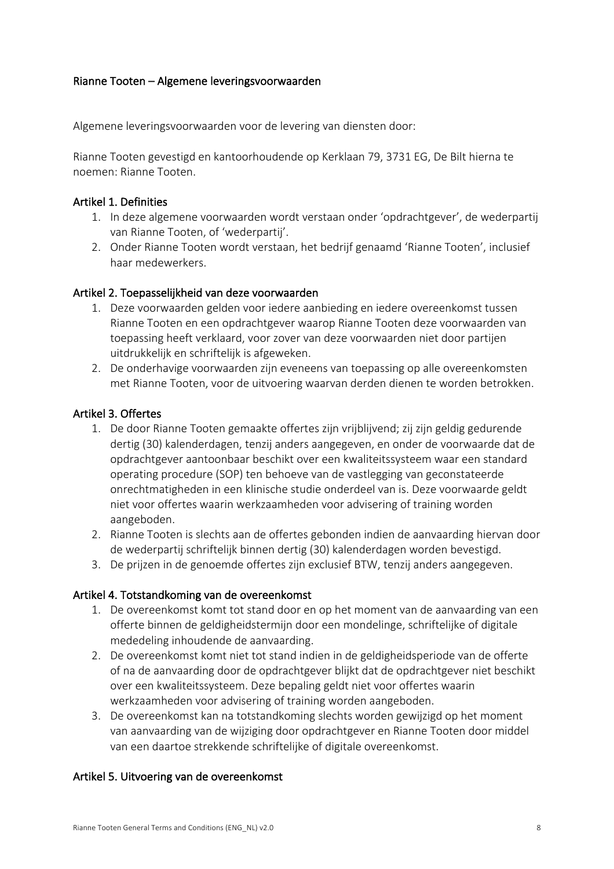### Rianne Tooten – Algemene leveringsvoorwaarden

Algemene leveringsvoorwaarden voor de levering van diensten door:

Rianne Tooten gevestigd en kantoorhoudende op Kerklaan 79, 3731 EG, De Bilt hierna te noemen: Rianne Tooten.

### Artikel 1. Definities

- 1. In deze algemene voorwaarden wordt verstaan onder 'opdrachtgever', de wederpartij van Rianne Tooten, of 'wederpartij'.
- 2. Onder Rianne Tooten wordt verstaan, het bedrijf genaamd 'Rianne Tooten', inclusief haar medewerkers.

### Artikel 2. Toepasselijkheid van deze voorwaarden

- 1. Deze voorwaarden gelden voor iedere aanbieding en iedere overeenkomst tussen Rianne Tooten en een opdrachtgever waarop Rianne Tooten deze voorwaarden van toepassing heeft verklaard, voor zover van deze voorwaarden niet door partijen uitdrukkelijk en schriftelijk is afgeweken.
- 2. De onderhavige voorwaarden zijn eveneens van toepassing op alle overeenkomsten met Rianne Tooten, voor de uitvoering waarvan derden dienen te worden betrokken.

### Artikel 3. Offertes

- 1. De door Rianne Tooten gemaakte offertes zijn vrijblijvend; zij zijn geldig gedurende dertig (30) kalenderdagen, tenzij anders aangegeven, en onder de voorwaarde dat de opdrachtgever aantoonbaar beschikt over een kwaliteitssysteem waar een standard operating procedure (SOP) ten behoeve van de vastlegging van geconstateerde onrechtmatigheden in een klinische studie onderdeel van is. Deze voorwaarde geldt niet voor offertes waarin werkzaamheden voor advisering of training worden aangeboden.
- 2. Rianne Tooten is slechts aan de offertes gebonden indien de aanvaarding hiervan door de wederpartij schriftelijk binnen dertig (30) kalenderdagen worden bevestigd.
- 3. De prijzen in de genoemde offertes zijn exclusief BTW, tenzij anders aangegeven.

# Artikel 4. Totstandkoming van de overeenkomst

- 1. De overeenkomst komt tot stand door en op het moment van de aanvaarding van een offerte binnen de geldigheidstermijn door een mondelinge, schriftelijke of digitale mededeling inhoudende de aanvaarding.
- 2. De overeenkomst komt niet tot stand indien in de geldigheidsperiode van de offerte of na de aanvaarding door de opdrachtgever blijkt dat de opdrachtgever niet beschikt over een kwaliteitssysteem. Deze bepaling geldt niet voor offertes waarin werkzaamheden voor advisering of training worden aangeboden.
- 3. De overeenkomst kan na totstandkoming slechts worden gewijzigd op het moment van aanvaarding van de wijziging door opdrachtgever en Rianne Tooten door middel van een daartoe strekkende schriftelijke of digitale overeenkomst.

### Artikel 5. Uitvoering van de overeenkomst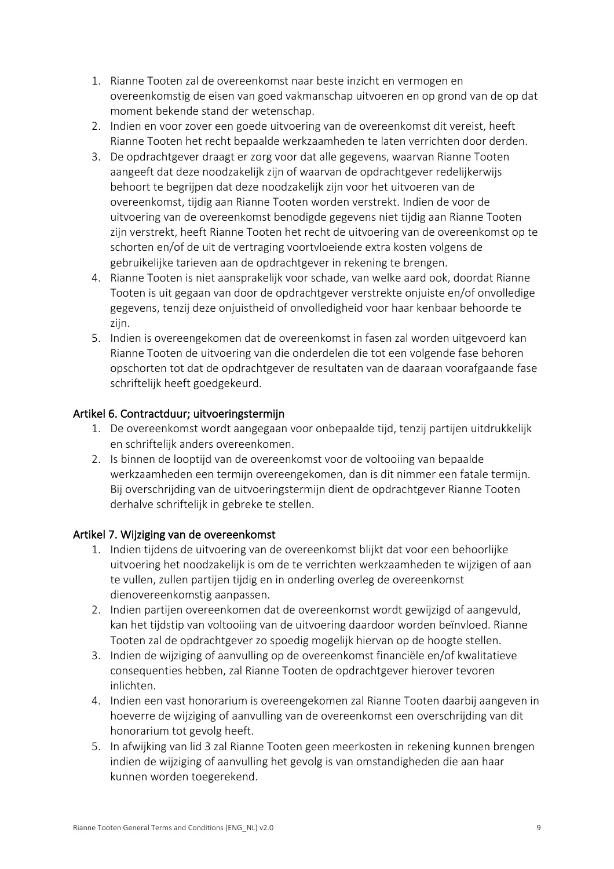- 1. Rianne Tooten zal de overeenkomst naar beste inzicht en vermogen en overeenkomstig de eisen van goed vakmanschap uitvoeren en op grond van de op dat moment bekende stand der wetenschap.
- 2. Indien en voor zover een goede uitvoering van de overeenkomst dit vereist, heeft Rianne Tooten het recht bepaalde werkzaamheden te laten verrichten door derden.
- 3. De opdrachtgever draagt er zorg voor dat alle gegevens, waarvan Rianne Tooten aangeeft dat deze noodzakelijk zijn of waarvan de opdrachtgever redelijkerwijs behoort te begrijpen dat deze noodzakelijk zijn voor het uitvoeren van de overeenkomst, tijdig aan Rianne Tooten worden verstrekt. Indien de voor de uitvoering van de overeenkomst benodigde gegevens niet tijdig aan Rianne Tooten zijn verstrekt, heeft Rianne Tooten het recht de uitvoering van de overeenkomst op te schorten en/of de uit de vertraging voortvloeiende extra kosten volgens de gebruikelijke tarieven aan de opdrachtgever in rekening te brengen.
- 4. Rianne Tooten is niet aansprakelijk voor schade, van welke aard ook, doordat Rianne Tooten is uit gegaan van door de opdrachtgever verstrekte onjuiste en/of onvolledige gegevens, tenzij deze onjuistheid of onvolledigheid voor haar kenbaar behoorde te zijn.
- 5. Indien is overeengekomen dat de overeenkomst in fasen zal worden uitgevoerd kan Rianne Tooten de uitvoering van die onderdelen die tot een volgende fase behoren opschorten tot dat de opdrachtgever de resultaten van de daaraan voorafgaande fase schriftelijk heeft goedgekeurd.

# Artikel 6. Contractduur; uitvoeringstermijn

- 1. De overeenkomst wordt aangegaan voor onbepaalde tijd, tenzij partijen uitdrukkelijk en schriftelijk anders overeenkomen.
- 2. Is binnen de looptijd van de overeenkomst voor de voltooiing van bepaalde werkzaamheden een termijn overeengekomen, dan is dit nimmer een fatale termijn. Bij overschrijding van de uitvoeringstermijn dient de opdrachtgever Rianne Tooten derhalve schriftelijk in gebreke te stellen.

### Artikel 7. Wijziging van de overeenkomst

- 1. Indien tijdens de uitvoering van de overeenkomst blijkt dat voor een behoorlijke uitvoering het noodzakelijk is om de te verrichten werkzaamheden te wijzigen of aan te vullen, zullen partijen tijdig en in onderling overleg de overeenkomst dienovereenkomstig aanpassen.
- 2. Indien partijen overeenkomen dat de overeenkomst wordt gewijzigd of aangevuld, kan het tijdstip van voltooiing van de uitvoering daardoor worden beïnvloed. Rianne Tooten zal de opdrachtgever zo spoedig mogelijk hiervan op de hoogte stellen.
- 3. Indien de wijziging of aanvulling op de overeenkomst financiële en/of kwalitatieve consequenties hebben, zal Rianne Tooten de opdrachtgever hierover tevoren inlichten.
- 4. Indien een vast honorarium is overeengekomen zal Rianne Tooten daarbij aangeven in hoeverre de wijziging of aanvulling van de overeenkomst een overschrijding van dit honorarium tot gevolg heeft.
- 5. In afwijking van lid 3 zal Rianne Tooten geen meerkosten in rekening kunnen brengen indien de wijziging of aanvulling het gevolg is van omstandigheden die aan haar kunnen worden toegerekend.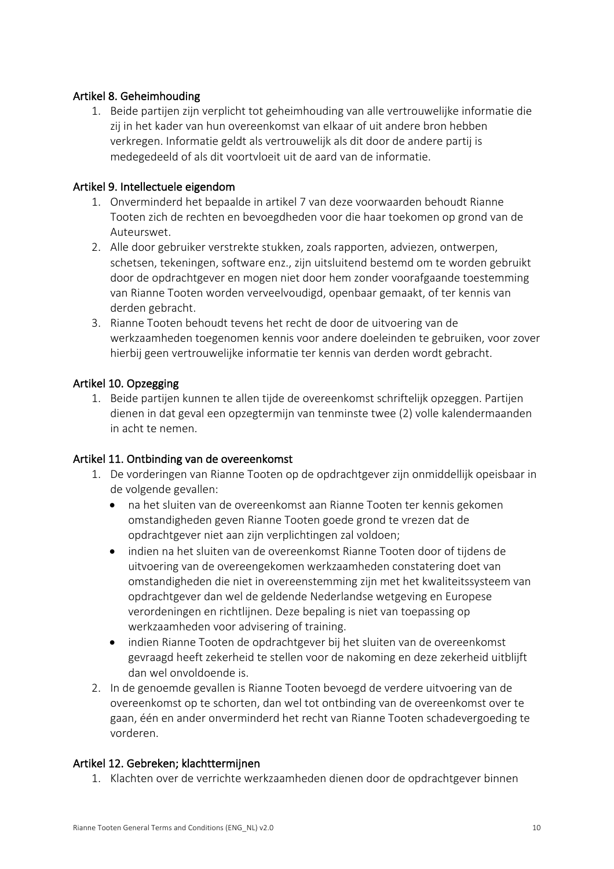# Artikel 8. Geheimhouding

1. Beide partijen zijn verplicht tot geheimhouding van alle vertrouwelijke informatie die zij in het kader van hun overeenkomst van elkaar of uit andere bron hebben verkregen. Informatie geldt als vertrouwelijk als dit door de andere partij is medegedeeld of als dit voortvloeit uit de aard van de informatie.

### Artikel 9. Intellectuele eigendom

- 1. Onverminderd het bepaalde in artikel 7 van deze voorwaarden behoudt Rianne Tooten zich de rechten en bevoegdheden voor die haar toekomen op grond van de Auteurswet.
- 2. Alle door gebruiker verstrekte stukken, zoals rapporten, adviezen, ontwerpen, schetsen, tekeningen, software enz., zijn uitsluitend bestemd om te worden gebruikt door de opdrachtgever en mogen niet door hem zonder voorafgaande toestemming van Rianne Tooten worden verveelvoudigd, openbaar gemaakt, of ter kennis van derden gebracht.
- 3. Rianne Tooten behoudt tevens het recht de door de uitvoering van de werkzaamheden toegenomen kennis voor andere doeleinden te gebruiken, voor zover hierbij geen vertrouwelijke informatie ter kennis van derden wordt gebracht.

# Artikel 10. Opzegging

1. Beide partijen kunnen te allen tijde de overeenkomst schriftelijk opzeggen. Partijen dienen in dat geval een opzegtermijn van tenminste twee (2) volle kalendermaanden in acht te nemen.

### Artikel 11. Ontbinding van de overeenkomst

- 1. De vorderingen van Rianne Tooten op de opdrachtgever zijn onmiddellijk opeisbaar in de volgende gevallen:
	- na het sluiten van de overeenkomst aan Rianne Tooten ter kennis gekomen omstandigheden geven Rianne Tooten goede grond te vrezen dat de opdrachtgever niet aan zijn verplichtingen zal voldoen;
	- indien na het sluiten van de overeenkomst Rianne Tooten door of tijdens de uitvoering van de overeengekomen werkzaamheden constatering doet van omstandigheden die niet in overeenstemming zijn met het kwaliteitssysteem van opdrachtgever dan wel de geldende Nederlandse wetgeving en Europese verordeningen en richtlijnen. Deze bepaling is niet van toepassing op werkzaamheden voor advisering of training.
	- indien Rianne Tooten de opdrachtgever bij het sluiten van de overeenkomst gevraagd heeft zekerheid te stellen voor de nakoming en deze zekerheid uitblijft dan wel onvoldoende is.
- 2. In de genoemde gevallen is Rianne Tooten bevoegd de verdere uitvoering van de overeenkomst op te schorten, dan wel tot ontbinding van de overeenkomst over te gaan, één en ander onverminderd het recht van Rianne Tooten schadevergoeding te vorderen.

# Artikel 12. Gebreken; klachttermijnen

1. Klachten over de verrichte werkzaamheden dienen door de opdrachtgever binnen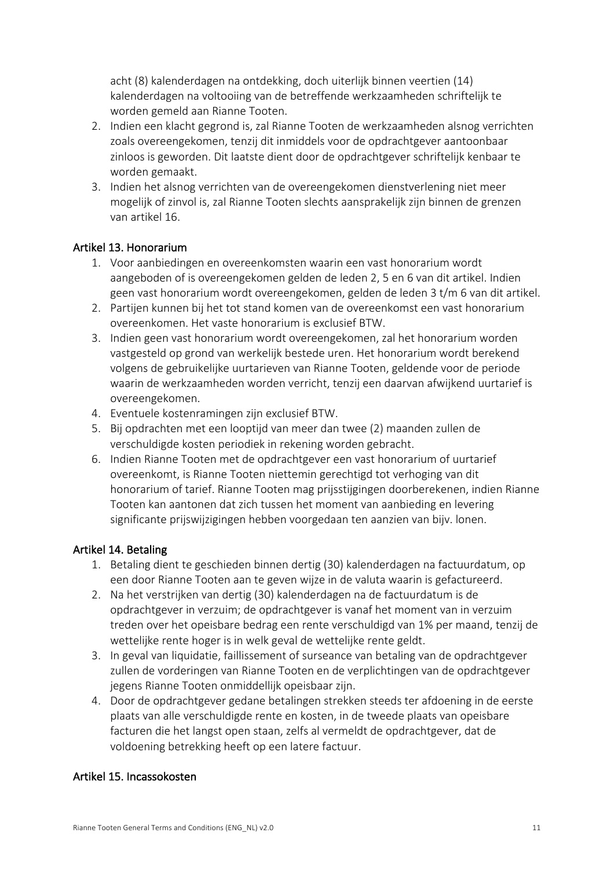acht (8) kalenderdagen na ontdekking, doch uiterlijk binnen veertien (14) kalenderdagen na voltooiing van de betreffende werkzaamheden schriftelijk te worden gemeld aan Rianne Tooten.

- 2. Indien een klacht gegrond is, zal Rianne Tooten de werkzaamheden alsnog verrichten zoals overeengekomen, tenzij dit inmiddels voor de opdrachtgever aantoonbaar zinloos is geworden. Dit laatste dient door de opdrachtgever schriftelijk kenbaar te worden gemaakt.
- 3. Indien het alsnog verrichten van de overeengekomen dienstverlening niet meer mogelijk of zinvol is, zal Rianne Tooten slechts aansprakelijk zijn binnen de grenzen van artikel 16.

### Artikel 13. Honorarium

- 1. Voor aanbiedingen en overeenkomsten waarin een vast honorarium wordt aangeboden of is overeengekomen gelden de leden 2, 5 en 6 van dit artikel. Indien geen vast honorarium wordt overeengekomen, gelden de leden 3 t/m 6 van dit artikel.
- 2. Partijen kunnen bij het tot stand komen van de overeenkomst een vast honorarium overeenkomen. Het vaste honorarium is exclusief BTW.
- 3. Indien geen vast honorarium wordt overeengekomen, zal het honorarium worden vastgesteld op grond van werkelijk bestede uren. Het honorarium wordt berekend volgens de gebruikelijke uurtarieven van Rianne Tooten, geldende voor de periode waarin de werkzaamheden worden verricht, tenzij een daarvan afwijkend uurtarief is overeengekomen.
- 4. Eventuele kostenramingen zijn exclusief BTW.
- 5. Bij opdrachten met een looptijd van meer dan twee (2) maanden zullen de verschuldigde kosten periodiek in rekening worden gebracht.
- 6. Indien Rianne Tooten met de opdrachtgever een vast honorarium of uurtarief overeenkomt, is Rianne Tooten niettemin gerechtigd tot verhoging van dit honorarium of tarief. Rianne Tooten mag prijsstijgingen doorberekenen, indien Rianne Tooten kan aantonen dat zich tussen het moment van aanbieding en levering significante prijswijzigingen hebben voorgedaan ten aanzien van bijv. lonen.

# Artikel 14. Betaling

- 1. Betaling dient te geschieden binnen dertig (30) kalenderdagen na factuurdatum, op een door Rianne Tooten aan te geven wijze in de valuta waarin is gefactureerd.
- 2. Na het verstrijken van dertig (30) kalenderdagen na de factuurdatum is de opdrachtgever in verzuim; de opdrachtgever is vanaf het moment van in verzuim treden over het opeisbare bedrag een rente verschuldigd van 1% per maand, tenzij de wettelijke rente hoger is in welk geval de wettelijke rente geldt.
- 3. In geval van liquidatie, faillissement of surseance van betaling van de opdrachtgever zullen de vorderingen van Rianne Tooten en de verplichtingen van de opdrachtgever jegens Rianne Tooten onmiddellijk opeisbaar zijn.
- 4. Door de opdrachtgever gedane betalingen strekken steeds ter afdoening in de eerste plaats van alle verschuldigde rente en kosten, in de tweede plaats van opeisbare facturen die het langst open staan, zelfs al vermeldt de opdrachtgever, dat de voldoening betrekking heeft op een latere factuur.

# Artikel 15. Incassokosten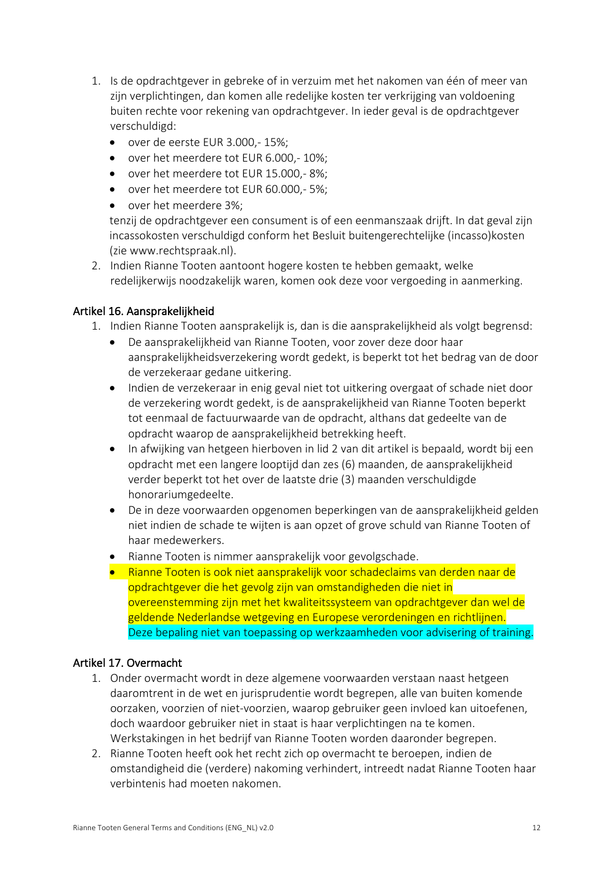- 1. Is de opdrachtgever in gebreke of in verzuim met het nakomen van één of meer van zijn verplichtingen, dan komen alle redelijke kosten ter verkrijging van voldoening buiten rechte voor rekening van opdrachtgever. In ieder geval is de opdrachtgever verschuldigd:
	- over de eerste EUR 3.000,- 15%;
	- over het meerdere tot EUR 6.000,- 10%;
	- over het meerdere tot EUR 15.000,- 8%;
	- over het meerdere tot EUR 60.000,- 5%;
	- over het meerdere 3%;

tenzij de opdrachtgever een consument is of een eenmanszaak drijft. In dat geval zijn incassokosten verschuldigd conform het Besluit buitengerechtelijke (incasso)kosten (zie www.rechtspraak.nl).

2. Indien Rianne Tooten aantoont hogere kosten te hebben gemaakt, welke redelijkerwijs noodzakelijk waren, komen ook deze voor vergoeding in aanmerking.

### Artikel 16. Aansprakelijkheid

1. Indien Rianne Tooten aansprakelijk is, dan is die aansprakelijkheid als volgt begrensd:

- De aansprakelijkheid van Rianne Tooten, voor zover deze door haar aansprakelijkheidsverzekering wordt gedekt, is beperkt tot het bedrag van de door de verzekeraar gedane uitkering.
- Indien de verzekeraar in enig geval niet tot uitkering overgaat of schade niet door de verzekering wordt gedekt, is de aansprakelijkheid van Rianne Tooten beperkt tot eenmaal de factuurwaarde van de opdracht, althans dat gedeelte van de opdracht waarop de aansprakelijkheid betrekking heeft.
- In afwijking van hetgeen hierboven in lid 2 van dit artikel is bepaald, wordt bij een opdracht met een langere looptijd dan zes (6) maanden, de aansprakelijkheid verder beperkt tot het over de laatste drie (3) maanden verschuldigde honorariumgedeelte.
- De in deze voorwaarden opgenomen beperkingen van de aansprakelijkheid gelden niet indien de schade te wijten is aan opzet of grove schuld van Rianne Tooten of haar medewerkers.
- Rianne Tooten is nimmer aansprakelijk voor gevolgschade.
- Rianne Tooten is ook niet aansprakelijk voor schadeclaims van derden naar de opdrachtgever die het gevolg zijn van omstandigheden die niet in overeenstemming zijn met het kwaliteitssysteem van opdrachtgever dan wel de geldende Nederlandse wetgeving en Europese verordeningen en richtlijnen. Deze bepaling niet van toepassing op werkzaamheden voor advisering of training.

### Artikel 17. Overmacht

- 1. Onder overmacht wordt in deze algemene voorwaarden verstaan naast hetgeen daaromtrent in de wet en jurisprudentie wordt begrepen, alle van buiten komende oorzaken, voorzien of niet-voorzien, waarop gebruiker geen invloed kan uitoefenen, doch waardoor gebruiker niet in staat is haar verplichtingen na te komen. Werkstakingen in het bedrijf van Rianne Tooten worden daaronder begrepen.
- 2. Rianne Tooten heeft ook het recht zich op overmacht te beroepen, indien de omstandigheid die (verdere) nakoming verhindert, intreedt nadat Rianne Tooten haar verbintenis had moeten nakomen.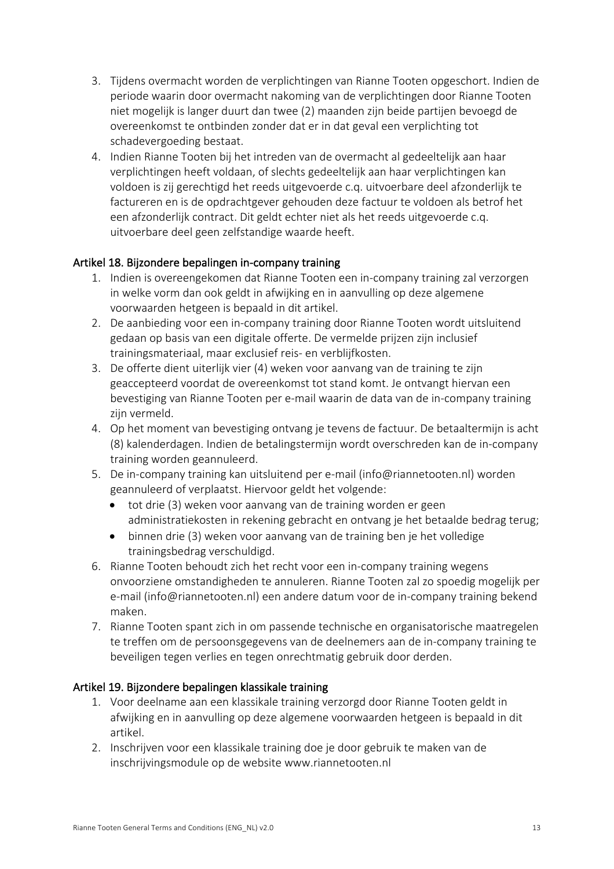- 3. Tijdens overmacht worden de verplichtingen van Rianne Tooten opgeschort. Indien de periode waarin door overmacht nakoming van de verplichtingen door Rianne Tooten niet mogelijk is langer duurt dan twee (2) maanden zijn beide partijen bevoegd de overeenkomst te ontbinden zonder dat er in dat geval een verplichting tot schadevergoeding bestaat.
- 4. Indien Rianne Tooten bij het intreden van de overmacht al gedeeltelijk aan haar verplichtingen heeft voldaan, of slechts gedeeltelijk aan haar verplichtingen kan voldoen is zij gerechtigd het reeds uitgevoerde c.q. uitvoerbare deel afzonderlijk te factureren en is de opdrachtgever gehouden deze factuur te voldoen als betrof het een afzonderlijk contract. Dit geldt echter niet als het reeds uitgevoerde c.q. uitvoerbare deel geen zelfstandige waarde heeft.

# Artikel 18. Bijzondere bepalingen in-company training

- 1. Indien is overeengekomen dat Rianne Tooten een in-company training zal verzorgen in welke vorm dan ook geldt in afwijking en in aanvulling op deze algemene voorwaarden hetgeen is bepaald in dit artikel.
- 2. De aanbieding voor een in-company training door Rianne Tooten wordt uitsluitend gedaan op basis van een digitale offerte. De vermelde prijzen zijn inclusief trainingsmateriaal, maar exclusief reis- en verblijfkosten.
- 3. De offerte dient uiterlijk vier (4) weken voor aanvang van de training te zijn geaccepteerd voordat de overeenkomst tot stand komt. Je ontvangt hiervan een bevestiging van Rianne Tooten per e-mail waarin de data van de in-company training zijn vermeld.
- 4. Op het moment van bevestiging ontvang je tevens de factuur. De betaaltermijn is acht (8) kalenderdagen. Indien de betalingstermijn wordt overschreden kan de in-company training worden geannuleerd.
- 5. De in-company training kan uitsluitend per e-mail (info@riannetooten.nl) worden geannuleerd of verplaatst. Hiervoor geldt het volgende:
	- tot drie (3) weken voor aanvang van de training worden er geen administratiekosten in rekening gebracht en ontvang je het betaalde bedrag terug;
	- binnen drie (3) weken voor aanvang van de training ben je het volledige trainingsbedrag verschuldigd.
- 6. Rianne Tooten behoudt zich het recht voor een in-company training wegens onvoorziene omstandigheden te annuleren. Rianne Tooten zal zo spoedig mogelijk per e-mail (info@riannetooten.nl) een andere datum voor de in-company training bekend maken.
- 7. Rianne Tooten spant zich in om passende technische en organisatorische maatregelen te treffen om de persoonsgegevens van de deelnemers aan de in-company training te beveiligen tegen verlies en tegen onrechtmatig gebruik door derden.

# Artikel 19. Bijzondere bepalingen klassikale training

- 1. Voor deelname aan een klassikale training verzorgd door Rianne Tooten geldt in afwijking en in aanvulling op deze algemene voorwaarden hetgeen is bepaald in dit artikel.
- 2. Inschrijven voor een klassikale training doe je door gebruik te maken van de inschrijvingsmodule op de website www.riannetooten.nl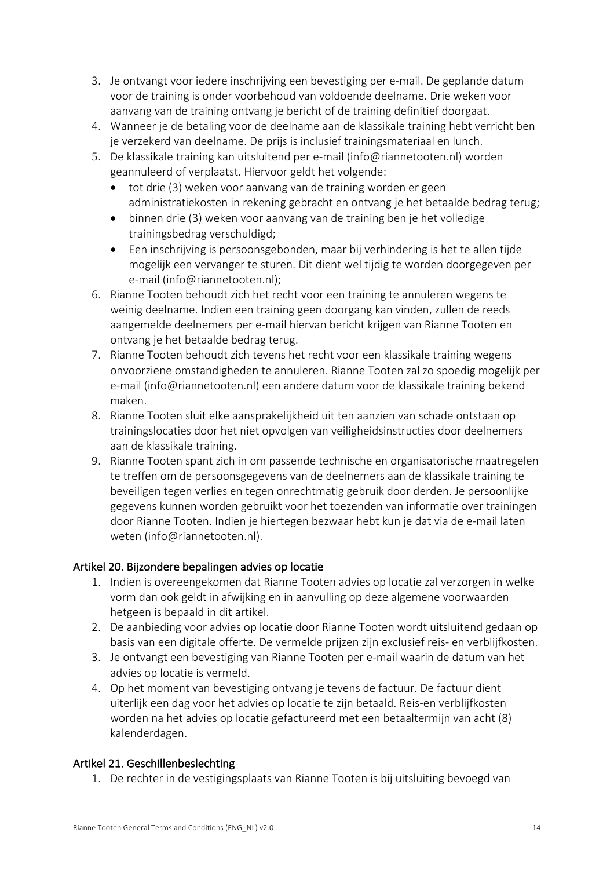- 3. Je ontvangt voor iedere inschrijving een bevestiging per e-mail. De geplande datum voor de training is onder voorbehoud van voldoende deelname. Drie weken voor aanvang van de training ontvang je bericht of de training definitief doorgaat.
- 4. Wanneer je de betaling voor de deelname aan de klassikale training hebt verricht ben je verzekerd van deelname. De prijs is inclusief trainingsmateriaal en lunch.
- 5. De klassikale training kan uitsluitend per e-mail (info@riannetooten.nl) worden geannuleerd of verplaatst. Hiervoor geldt het volgende:
	- tot drie (3) weken voor aanvang van de training worden er geen administratiekosten in rekening gebracht en ontvang je het betaalde bedrag terug;
	- binnen drie (3) weken voor aanvang van de training ben je het volledige trainingsbedrag verschuldigd;
	- Een inschrijving is persoonsgebonden, maar bij verhindering is het te allen tijde mogelijk een vervanger te sturen. Dit dient wel tijdig te worden doorgegeven per e-mail (info@riannetooten.nl);
- 6. Rianne Tooten behoudt zich het recht voor een training te annuleren wegens te weinig deelname. Indien een training geen doorgang kan vinden, zullen de reeds aangemelde deelnemers per e-mail hiervan bericht krijgen van Rianne Tooten en ontvang je het betaalde bedrag terug.
- 7. Rianne Tooten behoudt zich tevens het recht voor een klassikale training wegens onvoorziene omstandigheden te annuleren. Rianne Tooten zal zo spoedig mogelijk per e-mail (info@riannetooten.nl) een andere datum voor de klassikale training bekend maken.
- 8. Rianne Tooten sluit elke aansprakelijkheid uit ten aanzien van schade ontstaan op trainingslocaties door het niet opvolgen van veiligheidsinstructies door deelnemers aan de klassikale training.
- 9. Rianne Tooten spant zich in om passende technische en organisatorische maatregelen te treffen om de persoonsgegevens van de deelnemers aan de klassikale training te beveiligen tegen verlies en tegen onrechtmatig gebruik door derden. Je persoonlijke gegevens kunnen worden gebruikt voor het toezenden van informatie over trainingen door Rianne Tooten. Indien je hiertegen bezwaar hebt kun je dat via de e-mail laten weten (info@riannetooten.nl).

# Artikel 20. Bijzondere bepalingen advies op locatie

- 1. Indien is overeengekomen dat Rianne Tooten advies op locatie zal verzorgen in welke vorm dan ook geldt in afwijking en in aanvulling op deze algemene voorwaarden hetgeen is bepaald in dit artikel.
- 2. De aanbieding voor advies op locatie door Rianne Tooten wordt uitsluitend gedaan op basis van een digitale offerte. De vermelde prijzen zijn exclusief reis- en verblijfkosten.
- 3. Je ontvangt een bevestiging van Rianne Tooten per e-mail waarin de datum van het advies op locatie is vermeld.
- 4. Op het moment van bevestiging ontvang je tevens de factuur. De factuur dient uiterlijk een dag voor het advies op locatie te zijn betaald. Reis-en verblijfkosten worden na het advies op locatie gefactureerd met een betaaltermijn van acht (8) kalenderdagen.

# Artikel 21. Geschillenbeslechting

1. De rechter in de vestigingsplaats van Rianne Tooten is bij uitsluiting bevoegd van